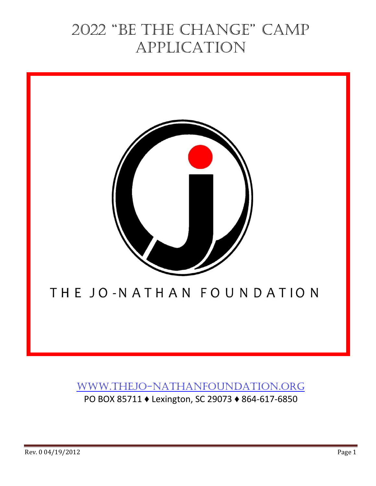# 2022 "Be the Change" Camp application



## [www.thejo-nathanfoundation.org](http://www.thejo-nathanfoundation.org/)

PO BOX 85711 ♦ Lexington, SC 29073 ♦ 864-617-6850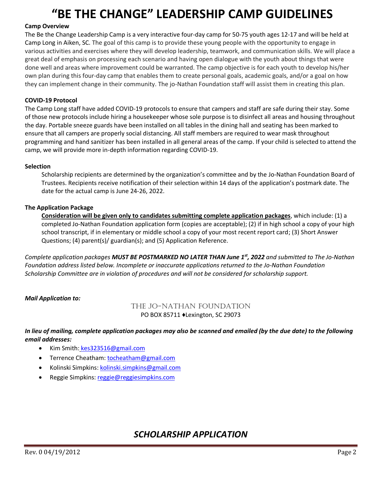# **"BE THE CHANGE" LEADERSHIP CAMP GUIDELINES**

#### **Camp Overview**

The Be the Change Leadership Camp is a very interactive four-day camp for 50-75 youth ages 12-17 and will be held at Camp Long in Aiken, SC. The goal of this camp is to provide these young people with the opportunity to engage in various activities and exercises where they will develop leadership, teamwork, and communication skills. We will place a great deal of emphasis on processing each scenario and having open dialogue with the youth about things that were done well and areas where improvement could be warranted. The camp objective is for each youth to develop his/her own plan during this four-day camp that enables them to create personal goals, academic goals, and/or a goal on how they can implement change in their community. The jo-Nathan Foundation staff will assist them in creating this plan.

#### **COVID-19 Protocol**

The Camp Long staff have added COVID-19 protocols to ensure that campers and staff are safe during their stay. Some of those new protocols include hiring a housekeeper whose sole purpose is to disinfect all areas and housing throughout the day. Portable sneeze guards have been installed on all tables in the dining hall and seating has been marked to ensure that all campers are properly social distancing. All staff members are required to wear mask throughout programming and hand sanitizer has been installed in all general areas of the camp. If your child is selected to attend the camp, we will provide more in-depth information regarding COVID-19.

#### **Selection**

Scholarship recipients are determined by the organization's committee and by the Jo-Nathan Foundation Board of Trustees. Recipients receive notification of their selection within 14 days of the application's postmark date. The date for the actual camp is June 24-26, 2022.

#### **The Application Package**

**Consideration will be given only to candidates submitting complete application packages**, which include: (1) a completed Jo-Nathan Foundation application form (copies are acceptable); (2) if in high school a copy of your high school transcript, if in elementary or middle school a copy of your most recent report card; (3) Short Answer Questions; (4) parent(s)/ guardian(s); and (5) Application Reference.

*Complete application packages MUST BE POSTMARKED NO LATER THAN June 1st , 2022 and submitted to The Jo-Nathan Foundation address listed below. Incomplete or inaccurate applications returned to the Jo-Nathan Foundation Scholarship Committee are in violation of procedures and will not be considered for scholarship support.*

#### *Mail Application to:*

#### The Jo-Nathan Foundation PO BOX 85711 ♦Lexington, SC 29073

#### *In lieu of mailing, complete application packages may also be scanned and emailed (by the due date) to the following email addresses:*

- Kim Smith: kes323516@gmail.com
- Terrence Cheatham[: tocheatham@gmail.com](mailto:tocheatham@gmail.com)
- Kolinski Simpkins: [kolinski.simpkins@gmail.com](mailto:kolinski.simpkins@gmail.com)
- Reggie Simpkins: [reggie@reggiesimpkins.com](mailto:reggie@reggiesimpkins.com)

### *SCHOLARSHIP APPLICATION*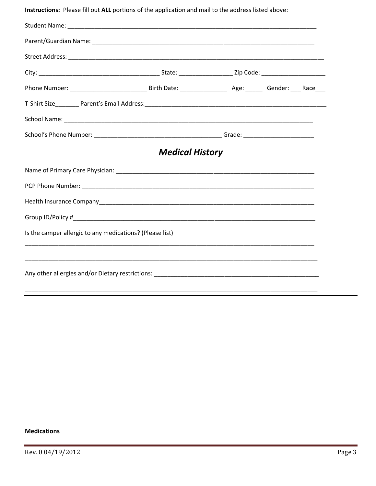Instructions: Please fill out ALL portions of the application and mail to the address listed above:

|                                                          | <b>Medical History</b> |  |  |
|----------------------------------------------------------|------------------------|--|--|
|                                                          |                        |  |  |
|                                                          |                        |  |  |
|                                                          |                        |  |  |
|                                                          |                        |  |  |
| Is the camper allergic to any medications? (Please list) |                        |  |  |
|                                                          |                        |  |  |
|                                                          |                        |  |  |

#### **Medications**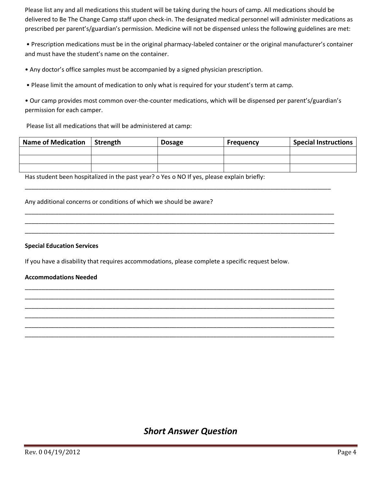Please list any and all medications this student will be taking during the hours of camp. All medications should be delivered to Be The Change Camp staff upon check-in. The designated medical personnel will administer medications as prescribed per parent's/guardian's permission. Medicine will not be dispensed unless the following guidelines are met:

• Prescription medications must be in the original pharmacy-labeled container or the original manufacturer's container and must have the student's name on the container.

• Any doctor's office samples must be accompanied by a signed physician prescription.

• Please limit the amount of medication to only what is required for your student's term at camp.

• Our camp provides most common over-the-counter medications, which will be dispensed per parent's/guardian's permission for each camper.

Please list all medications that will be administered at camp:

| <b>Name of Medication</b> | Strength | <b>Dosage</b> | Frequency | <b>Special Instructions</b> |
|---------------------------|----------|---------------|-----------|-----------------------------|
|                           |          |               |           |                             |
|                           |          |               |           |                             |
|                           |          |               |           |                             |

\_\_\_\_\_\_\_\_\_\_\_\_\_\_\_\_\_\_\_\_\_\_\_\_\_\_\_\_\_\_\_\_\_\_\_\_\_\_\_\_\_\_\_\_\_\_\_\_\_\_\_\_\_\_\_\_\_\_\_\_\_\_\_\_\_\_\_\_\_\_\_\_\_\_\_\_\_\_\_\_\_\_\_\_\_\_\_\_\_\_\_

\_\_\_\_\_\_\_\_\_\_\_\_\_\_\_\_\_\_\_\_\_\_\_\_\_\_\_\_\_\_\_\_\_\_\_\_\_\_\_\_\_\_\_\_\_\_\_\_\_\_\_\_\_\_\_\_\_\_\_\_\_\_\_\_\_\_\_\_\_\_\_\_\_\_\_\_\_\_\_\_\_\_\_\_\_\_\_\_\_\_\_\_ \_\_\_\_\_\_\_\_\_\_\_\_\_\_\_\_\_\_\_\_\_\_\_\_\_\_\_\_\_\_\_\_\_\_\_\_\_\_\_\_\_\_\_\_\_\_\_\_\_\_\_\_\_\_\_\_\_\_\_\_\_\_\_\_\_\_\_\_\_\_\_\_\_\_\_\_\_\_\_\_\_\_\_\_\_\_\_\_\_\_\_\_ \_\_\_\_\_\_\_\_\_\_\_\_\_\_\_\_\_\_\_\_\_\_\_\_\_\_\_\_\_\_\_\_\_\_\_\_\_\_\_\_\_\_\_\_\_\_\_\_\_\_\_\_\_\_\_\_\_\_\_\_\_\_\_\_\_\_\_\_\_\_\_\_\_\_\_\_\_\_\_\_\_\_\_\_\_\_\_\_\_\_\_\_

\_\_\_\_\_\_\_\_\_\_\_\_\_\_\_\_\_\_\_\_\_\_\_\_\_\_\_\_\_\_\_\_\_\_\_\_\_\_\_\_\_\_\_\_\_\_\_\_\_\_\_\_\_\_\_\_\_\_\_\_\_\_\_\_\_\_\_\_\_\_\_\_\_\_\_\_\_\_\_\_\_\_\_\_\_\_\_\_\_\_\_\_ \_\_\_\_\_\_\_\_\_\_\_\_\_\_\_\_\_\_\_\_\_\_\_\_\_\_\_\_\_\_\_\_\_\_\_\_\_\_\_\_\_\_\_\_\_\_\_\_\_\_\_\_\_\_\_\_\_\_\_\_\_\_\_\_\_\_\_\_\_\_\_\_\_\_\_\_\_\_\_\_\_\_\_\_\_\_\_\_\_\_\_\_ \_\_\_\_\_\_\_\_\_\_\_\_\_\_\_\_\_\_\_\_\_\_\_\_\_\_\_\_\_\_\_\_\_\_\_\_\_\_\_\_\_\_\_\_\_\_\_\_\_\_\_\_\_\_\_\_\_\_\_\_\_\_\_\_\_\_\_\_\_\_\_\_\_\_\_\_\_\_\_\_\_\_\_\_\_\_\_\_\_\_\_\_ \_\_\_\_\_\_\_\_\_\_\_\_\_\_\_\_\_\_\_\_\_\_\_\_\_\_\_\_\_\_\_\_\_\_\_\_\_\_\_\_\_\_\_\_\_\_\_\_\_\_\_\_\_\_\_\_\_\_\_\_\_\_\_\_\_\_\_\_\_\_\_\_\_\_\_\_\_\_\_\_\_\_\_\_\_\_\_\_\_\_\_\_ \_\_\_\_\_\_\_\_\_\_\_\_\_\_\_\_\_\_\_\_\_\_\_\_\_\_\_\_\_\_\_\_\_\_\_\_\_\_\_\_\_\_\_\_\_\_\_\_\_\_\_\_\_\_\_\_\_\_\_\_\_\_\_\_\_\_\_\_\_\_\_\_\_\_\_\_\_\_\_\_\_\_\_\_\_\_\_\_\_\_\_\_ \_\_\_\_\_\_\_\_\_\_\_\_\_\_\_\_\_\_\_\_\_\_\_\_\_\_\_\_\_\_\_\_\_\_\_\_\_\_\_\_\_\_\_\_\_\_\_\_\_\_\_\_\_\_\_\_\_\_\_\_\_\_\_\_\_\_\_\_\_\_\_\_\_\_\_\_\_\_\_\_\_\_\_\_\_\_\_\_\_\_\_\_

Has student been hospitalized in the past year? o Yes o NO If yes, please explain briefly:

Any additional concerns or conditions of which we should be aware?

#### **Special Education Services**

If you have a disability that requires accommodations, please complete a specific request below.

#### **Accommodations Needed**

### *Short Answer Question*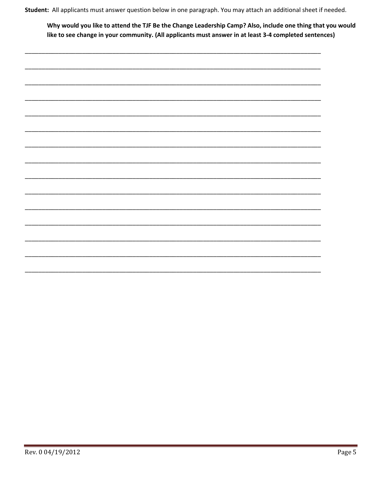Student: All applicants must answer question below in one paragraph. You may attach an additional sheet if needed.

Why would you like to attend the TJF Be the Change Leadership Camp? Also, include one thing that you would like to see change in your community. (All applicants must answer in at least 3-4 completed sentences)

|  | Ξ.                       |
|--|--------------------------|
|  |                          |
|  |                          |
|  |                          |
|  |                          |
|  |                          |
|  |                          |
|  |                          |
|  |                          |
|  |                          |
|  |                          |
|  |                          |
|  |                          |
|  |                          |
|  |                          |
|  |                          |
|  |                          |
|  |                          |
|  |                          |
|  |                          |
|  |                          |
|  |                          |
|  |                          |
|  | $\overline{\phantom{0}}$ |
|  |                          |
|  |                          |
|  |                          |
|  |                          |
|  |                          |
|  |                          |
|  |                          |
|  |                          |
|  |                          |
|  |                          |
|  |                          |
|  |                          |
|  |                          |
|  |                          |
|  |                          |
|  |                          |
|  |                          |
|  |                          |
|  |                          |
|  |                          |
|  |                          |
|  |                          |
|  |                          |
|  |                          |
|  |                          |
|  |                          |
|  |                          |
|  |                          |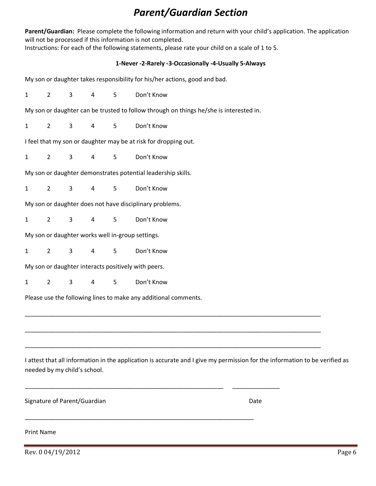## *Parent/Guardian Section*

**Parent/Guardian:** Please complete the following information and return with your child's application. The application will not be processed if this information is not completed.

Instructions: For each of the following statements, please rate your child on a scale of 1 to 5.

#### **1‐Never -2‐Rarely -3‐Occasionally -4‐Usually 5‐Always**

|              |                                                                                   |              |                              |                 | My son or daughter takes responsibility for his/her actions, good and bad.                                                  |  |  |
|--------------|-----------------------------------------------------------------------------------|--------------|------------------------------|-----------------|-----------------------------------------------------------------------------------------------------------------------------|--|--|
| $\mathbf{1}$ | $\overline{2}$                                                                    | $\mathsf{3}$ | $\overline{4}$               | $5\phantom{.0}$ | Don't Know                                                                                                                  |  |  |
|              |                                                                                   |              |                              |                 | My son or daughter can be trusted to follow through on things he/she is interested in.                                      |  |  |
| $\mathbf{1}$ | $2^{\circ}$                                                                       | $\mathbf{3}$ | $\overline{4}$               | 5               | Don't Know                                                                                                                  |  |  |
|              |                                                                                   |              |                              |                 | I feel that my son or daughter may be at risk for dropping out.                                                             |  |  |
| $\mathbf{1}$ | $\overline{2}$                                                                    | $\mathbf{3}$ | $\overline{4}$               | 5               | Don't Know                                                                                                                  |  |  |
|              |                                                                                   |              |                              |                 | My son or daughter demonstrates potential leadership skills.                                                                |  |  |
| $\mathbf{1}$ | $\overline{2}$                                                                    | $\mathsf{3}$ | 4                            | 5               | Don't Know                                                                                                                  |  |  |
|              |                                                                                   |              |                              |                 | My son or daughter does not have disciplinary problems.                                                                     |  |  |
| $\mathbf{1}$ | $\overline{2}$<br>$\mathsf{3}$<br>$5\phantom{.0}$<br>Don't Know<br>$\overline{4}$ |              |                              |                 |                                                                                                                             |  |  |
|              |                                                                                   |              |                              |                 | My son or daughter works well in-group settings.                                                                            |  |  |
| $\mathbf{1}$ | $2^{\circ}$                                                                       | $\mathbf{3}$ | 4                            | 5               | Don't Know                                                                                                                  |  |  |
|              |                                                                                   |              |                              |                 | My son or daughter interacts positively with peers.                                                                         |  |  |
| $\mathbf{1}$ | $\overline{2}$                                                                    | $\mathsf{3}$ | 4                            | 5               | Don't Know                                                                                                                  |  |  |
|              |                                                                                   |              |                              |                 | Please use the following lines to make any additional comments.                                                             |  |  |
|              |                                                                                   |              |                              |                 |                                                                                                                             |  |  |
|              |                                                                                   |              |                              |                 |                                                                                                                             |  |  |
|              |                                                                                   |              |                              |                 |                                                                                                                             |  |  |
|              |                                                                                   |              | needed by my child's school. |                 | I attest that all information in the application is accurate and I give my permission for the information to be verified as |  |  |
|              |                                                                                   |              | Signature of Parent/Guardian |                 | Date                                                                                                                        |  |  |
|              | <b>Print Name</b>                                                                 |              |                              |                 |                                                                                                                             |  |  |

Rev. 0 04/19/2012 Page 6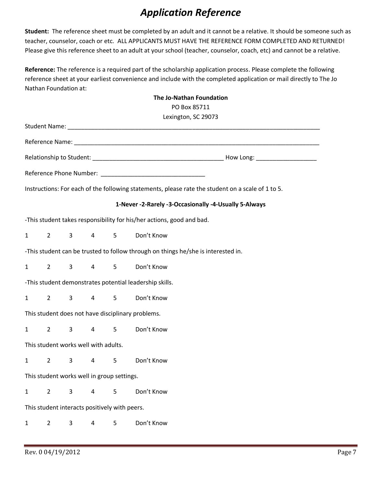# *Application Reference*

**Student:** The reference sheet must be completed by an adult and it cannot be a relative. It should be someone such as teacher, counselor, coach or etc. ALL APPLICANTS MUST HAVE THE REFERENCE FORM COMPLETED AND RETURNED! Please give this reference sheet to an adult at your school (teacher, counselor, coach, etc) and cannot be a relative.

**Reference:** The reference is a required part of the scholarship application process. Please complete the following reference sheet at your earliest convenience and include with the completed application or mail directly to The Jo Nathan Foundation at:

|                                                                       |                |                                               |                 |            | The Jo-Nathan Foundation                                                                          |  |  |
|-----------------------------------------------------------------------|----------------|-----------------------------------------------|-----------------|------------|---------------------------------------------------------------------------------------------------|--|--|
|                                                                       | PO Box 85711   |                                               |                 |            |                                                                                                   |  |  |
|                                                                       |                |                                               |                 |            | Lexington, SC 29073                                                                               |  |  |
|                                                                       |                |                                               |                 |            |                                                                                                   |  |  |
|                                                                       |                |                                               |                 |            |                                                                                                   |  |  |
|                                                                       |                |                                               |                 |            |                                                                                                   |  |  |
|                                                                       |                |                                               |                 |            |                                                                                                   |  |  |
|                                                                       |                |                                               |                 |            | Instructions: For each of the following statements, please rate the student on a scale of 1 to 5. |  |  |
| 1-Never -2-Rarely -3-Occasionally -4-Usually 5-Always                 |                |                                               |                 |            |                                                                                                   |  |  |
| -This student takes responsibility for his/her actions, good and bad. |                |                                               |                 |            |                                                                                                   |  |  |
| $\mathbf{1}$                                                          | $2^{\sim}$     | $3^{\circ}$                                   |                 | $4\quad 5$ | Don't Know                                                                                        |  |  |
|                                                                       |                |                                               |                 |            | -This student can be trusted to follow through on things he/she is interested in.                 |  |  |
| $\mathbf{1}$                                                          | $2^{\sim}$     |                                               |                 |            | 3 4 5 Don't Know                                                                                  |  |  |
| -This student demonstrates potential leadership skills.               |                |                                               |                 |            |                                                                                                   |  |  |
| $\mathbf{1}$                                                          | $2^{\sim}$     | $3^{\circ}$                                   |                 |            | 4 5 Don't Know                                                                                    |  |  |
| This student does not have disciplinary problems.                     |                |                                               |                 |            |                                                                                                   |  |  |
| $\mathbf{1}$                                                          | $\overline{2}$ | $\mathbf{3}$                                  | $4\overline{ }$ | 5          | Don't Know                                                                                        |  |  |
| This student works well with adults.                                  |                |                                               |                 |            |                                                                                                   |  |  |
| $\mathbf{1}$                                                          | $\overline{2}$ | $\mathbf{3}$                                  | $\overline{4}$  | 5          | Don't Know                                                                                        |  |  |
| This student works well in group settings.                            |                |                                               |                 |            |                                                                                                   |  |  |
| $\mathbf{1}$                                                          | $\overline{2}$ | 3                                             | $\overline{4}$  | 5          | Don't Know                                                                                        |  |  |
|                                                                       |                | This student interacts positively with peers. |                 |            |                                                                                                   |  |  |
| $\mathbf{1}$                                                          | $\overline{2}$ | 3                                             | 4               | 5          | Don't Know                                                                                        |  |  |